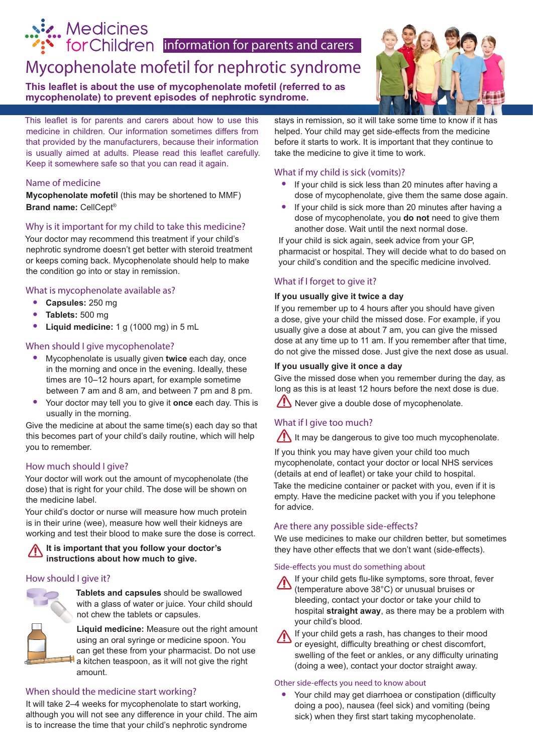# Mycophenolate mofetil for nephrotic syndrome **information for parents and carers**

**This leaflet is about the use of mycophenolate mofetil (referred to as mycophenolate) to prevent episodes of nephrotic syndrome.** 



This leaflet is for parents and carers about how to use this medicine in children. Our information sometimes differs from that provided by the manufacturers, because their information is usually aimed at adults. Please read this leaflet carefully. Keep it somewhere safe so that you can read it again.

### Name of medicine

...... Medicines

**Mycophenolate mofetil** (this may be shortened to MMF) **Brand name:** CellCept®

### Why is it important for my child to take this medicine?

Your doctor may recommend this treatment if your child's nephrotic syndrome doesn't get better with steroid treatment or keeps coming back. Mycophenolate should help to make the condition go into or stay in remission.

### What is mycophenolate available as?

- **• Capsules:** 250 mg
- **• Tablets:** 500 mg
- **• Liquid medicine:** 1 g (1000 mg) in 5 mL

### When should I give mycophenolate?

- **•** Mycophenolate is usually given **twice** each day, once in the morning and once in the evening. Ideally, these times are 10–12 hours apart, for example sometime between 7 am and 8 am, and between 7 pm and 8 pm.
- **•** Your doctor may tell you to give it **once** each day. This is usually in the morning.

Give the medicine at about the same time(s) each day so that this becomes part of your child's daily routine, which will help you to remember.

### How much should I give?

Your doctor will work out the amount of mycophenolate (the dose) that is right for your child. The dose will be shown on the medicine label.

Your child's doctor or nurse will measure how much protein is in their urine (wee), measure how well their kidneys are working and test their blood to make sure the dose is correct.

### **It is important that you follow your doctor's instructions about how much to give.**

### How should I give it?



**Tablets and capsules** should be swallowed with a glass of water or juice. Your child should not chew the tablets or capsules.

**Liquid medicine:** Measure out the right amount using an oral syringe or medicine spoon. You can get these from your pharmacist. Do not use a kitchen teaspoon, as it will not give the right amount.

### When should the medicine start working?

It will take 2–4 weeks for mycophenolate to start working, although you will not see any difference in your child. The aim is to increase the time that your child's nephrotic syndrome

stays in remission, so it will take some time to know if it has helped. Your child may get side-effects from the medicine before it starts to work. It is important that they continue to take the medicine to give it time to work.

### What if my child is sick (vomits)?

- **•** If your child is sick less than 20 minutes after having a dose of mycophenolate, give them the same dose again.
- **•** If your child is sick more than 20 minutes after having a dose of mycophenolate, you **do not** need to give them another dose. Wait until the next normal dose.

If your child is sick again, seek advice from your GP, pharmacist or hospital. They will decide what to do based on your child's condition and the specific medicine involved.

### What if I forget to give it?

### **If you usually give it twice a day**

If you remember up to 4 hours after you should have given a dose, give your child the missed dose. For example, if you usually give a dose at about 7 am, you can give the missed dose at any time up to 11 am. If you remember after that time, do not give the missed dose. Just give the next dose as usual.

### **If you usually give it once a day**

Give the missed dose when you remember during the day, as long as this is at least 12 hours before the next dose is due.

 $\sqrt{\frac{1}{2}}$  Never give a double dose of mycophenolate.

### What if I give too much?

It may be dangerous to give too much mycophenolate.

If you think you may have given your child too much mycophenolate, contact your doctor or local NHS services (details at end of leaflet) or take your child to hospital.

Take the medicine container or packet with you, even if it is empty. Have the medicine packet with you if you telephone for advice.

### Are there any possible side-effects?

We use medicines to make our children better, but sometimes they have other effects that we don't want (side-effects).

#### Side-effects you must do something about



If your child gets flu-like symptoms, sore throat, fever (temperature above 38°C) or unusual bruises or bleeding, contact your doctor or take your child to hospital **straight away**, as there may be a problem with your child's blood.

If your child gets a rash, has changes to their mood or eyesight, difficulty breathing or chest discomfort, swelling of the feet or ankles, or any difficulty urinating (doing a wee), contact your doctor straight away.

### Other side-effects you need to know about

**•** Your child may get diarrhoea or constipation (difficulty doing a poo), nausea (feel sick) and vomiting (being sick) when they first start taking mycophenolate.